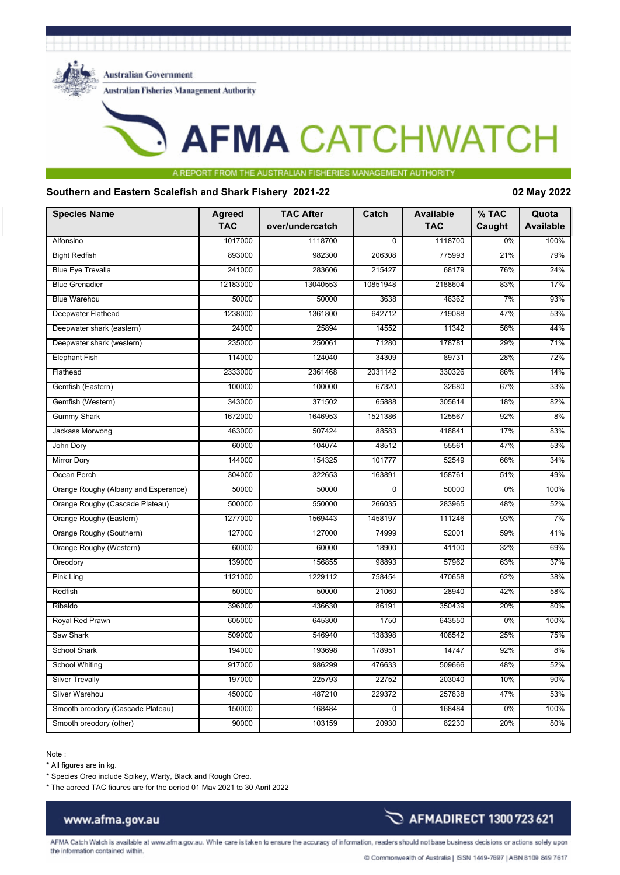

**Australian Government** 

**Australian Fisheries Management Authority** 

# **AFMA CATCHWATCH**

### A REPORT FRO THE ALISTRALIAN FISHER

### **Southern and Eastern Scalefish and Shark Fishery 2021-22 02 May 2022**

| <b>Species Name</b>                  | <b>Agreed</b><br><b>TAC</b> | <b>TAC After</b><br>over/undercatch | Catch          | <b>Available</b><br><b>TAC</b> | % TAC<br>Caught | Quota<br><b>Available</b> |
|--------------------------------------|-----------------------------|-------------------------------------|----------------|--------------------------------|-----------------|---------------------------|
| Alfonsino                            | 1017000                     | 1118700                             | $\overline{0}$ | 1118700                        | 0%              | 100%                      |
| <b>Bight Redfish</b>                 | 893000                      | 982300                              | 206308         | 775993                         | 21%             | 79%                       |
| <b>Blue Eye Trevalla</b>             | 241000                      | 283606                              | 215427         | 68179                          | 76%             | 24%                       |
| <b>Blue Grenadier</b>                | 12183000                    | 13040553                            | 10851948       | 2188604                        | 83%             | 17%                       |
| <b>Blue Warehou</b>                  | 50000                       | 50000                               | 3638           | 46362                          | 7%              | 93%                       |
| Deepwater Flathead                   | 1238000                     | 1361800                             | 642712         | 719088                         | 47%             | 53%                       |
| Deepwater shark (eastern)            | 24000                       | 25894                               | 14552          | 11342                          | 56%             | 44%                       |
| Deepwater shark (western)            | 235000                      | 250061                              | 71280          | 178781                         | 29%             | 71%                       |
| <b>Elephant Fish</b>                 | 114000                      | 124040                              | 34309          | 89731                          | 28%             | 72%                       |
| Flathead                             | 2333000                     | 2361468                             | 2031142        | 330326                         | 86%             | 14%                       |
| Gemfish (Eastern)                    | 100000                      | 100000                              | 67320          | 32680                          | 67%             | 33%                       |
| Gemfish (Western)                    | 343000                      | 371502                              | 65888          | 305614                         | 18%             | 82%                       |
| <b>Gummy Shark</b>                   | 1672000                     | 1646953                             | 1521386        | 125567                         | 92%             | 8%                        |
| Jackass Morwong                      | 463000                      | 507424                              | 88583          | 418841                         | 17%             | 83%                       |
| John Dory                            | 60000                       | 104074                              | 48512          | 55561                          | 47%             | 53%                       |
| <b>Mirror Dory</b>                   | 144000                      | 154325                              | 101777         | 52549                          | 66%             | 34%                       |
| Ocean Perch                          | 304000                      | 322653                              | 163891         | 158761                         | 51%             | 49%                       |
| Orange Roughy (Albany and Esperance) | 50000                       | 50000                               | 0              | 50000                          | 0%              | 100%                      |
| Orange Roughy (Cascade Plateau)      | 500000                      | 550000                              | 266035         | 283965                         | 48%             | 52%                       |
| Orange Roughy (Eastern)              | 1277000                     | 1569443                             | 1458197        | 111246                         | 93%             | 7%                        |
| Orange Roughy (Southern)             | 127000                      | 127000                              | 74999          | 52001                          | 59%             | 41%                       |
| Orange Roughy (Western)              | 60000                       | 60000                               | 18900          | 41100                          | 32%             | 69%                       |
| Oreodory                             | 139000                      | 156855                              | 98893          | 57962                          | 63%             | 37%                       |
| <b>Pink Ling</b>                     | 1121000                     | 1229112                             | 758454         | 470658                         | 62%             | 38%                       |
| Redfish                              | 50000                       | 50000                               | 21060          | 28940                          | 42%             | 58%                       |
| Ribaldo                              | 396000                      | 436630                              | 86191          | 350439                         | 20%             | 80%                       |
| Royal Red Prawn                      | 605000                      | 645300                              | 1750           | 643550                         | 0%              | 100%                      |
| Saw Shark                            | 509000                      | 546940                              | 138398         | 408542                         | 25%             | 75%                       |
| <b>School Shark</b>                  | 194000                      | 193698                              | 178951         | 14747                          | 92%             | 8%                        |
| <b>School Whiting</b>                | 917000                      | 986299                              | 476633         | 509666                         | 48%             | 52%                       |
| <b>Silver Trevally</b>               | 197000                      | 225793                              | 22752          | 203040                         | 10%             | 90%                       |
| Silver Warehou                       | 450000                      | 487210                              | 229372         | 257838                         | 47%             | 53%                       |
| Smooth oreodory (Cascade Plateau)    | 150000                      | 168484                              | $\overline{0}$ | 168484                         | 0%              | 100%                      |
| Smooth oreodory (other)              | 90000                       | 103159                              | 20930          | 82230                          | 20%             | 80%                       |

Note :

\* All figures are in kg.

\* Species Oreo include Spikey, Warty, Black and Rough Oreo.

\* The agreed TAC figures are for the period 01 May 2021 to 30 April 2022

# www.afma.gov.au

AFMA Catch Watch is available at www.afma.gov.au. While care is taken to ensure the accuracy of information, readers should not base business decisions or actions solely upon

the information contained within.

AFMADIRECT 1300 723 621